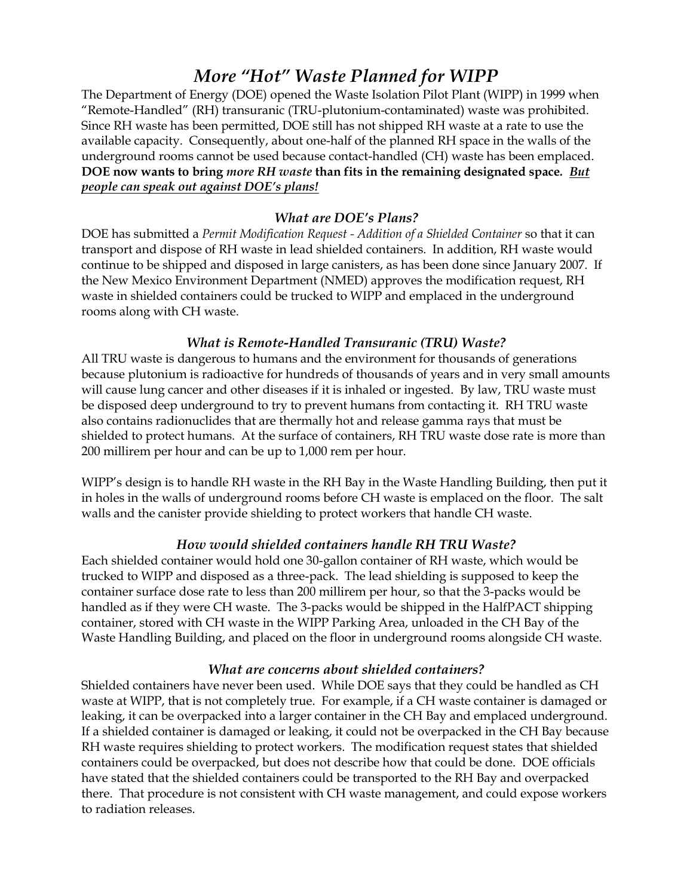# *More "Hot" Waste Planned for WIPP*

The Department of Energy (DOE) opened the Waste Isolation Pilot Plant (WIPP) in 1999 when "Remote-Handled" (RH) transuranic (TRU-plutonium-contaminated) waste was prohibited. Since RH waste has been permitted, DOE still has not shipped RH waste at a rate to use the available capacity. Consequently, about one-half of the planned RH space in the walls of the underground rooms cannot be used because contact-handled (CH) waste has been emplaced. **DOE now wants to bring** *more RH waste* **than fits in the remaining designated space***. But people can speak out against DOE's plans!*

## *What are DOE's Plans?*

DOE has submitted a *Permit Modification Request - Addition of a Shielded Container* so that it can transport and dispose of RH waste in lead shielded containers. In addition, RH waste would continue to be shipped and disposed in large canisters, as has been done since January 2007. If the New Mexico Environment Department (NMED) approves the modification request, RH waste in shielded containers could be trucked to WIPP and emplaced in the underground rooms along with CH waste.

### *What is Remote-Handled Transuranic (TRU) Waste?*

All TRU waste is dangerous to humans and the environment for thousands of generations because plutonium is radioactive for hundreds of thousands of years and in very small amounts will cause lung cancer and other diseases if it is inhaled or ingested. By law, TRU waste must be disposed deep underground to try to prevent humans from contacting it. RH TRU waste also contains radionuclides that are thermally hot and release gamma rays that must be shielded to protect humans. At the surface of containers, RH TRU waste dose rate is more than 200 millirem per hour and can be up to 1,000 rem per hour.

WIPP's design is to handle RH waste in the RH Bay in the Waste Handling Building, then put it in holes in the walls of underground rooms before CH waste is emplaced on the floor. The salt walls and the canister provide shielding to protect workers that handle CH waste.

## *How would shielded containers handle RH TRU Waste?*

Each shielded container would hold one 30-gallon container of RH waste, which would be trucked to WIPP and disposed as a three-pack. The lead shielding is supposed to keep the container surface dose rate to less than 200 millirem per hour, so that the 3-packs would be handled as if they were CH waste. The 3-packs would be shipped in the HalfPACT shipping container, stored with CH waste in the WIPP Parking Area, unloaded in the CH Bay of the Waste Handling Building, and placed on the floor in underground rooms alongside CH waste.

#### *What are concerns about shielded containers?*

Shielded containers have never been used. While DOE says that they could be handled as CH waste at WIPP, that is not completely true. For example, if a CH waste container is damaged or leaking, it can be overpacked into a larger container in the CH Bay and emplaced underground. If a shielded container is damaged or leaking, it could not be overpacked in the CH Bay because RH waste requires shielding to protect workers. The modification request states that shielded containers could be overpacked, but does not describe how that could be done. DOE officials have stated that the shielded containers could be transported to the RH Bay and overpacked there. That procedure is not consistent with CH waste management, and could expose workers to radiation releases.